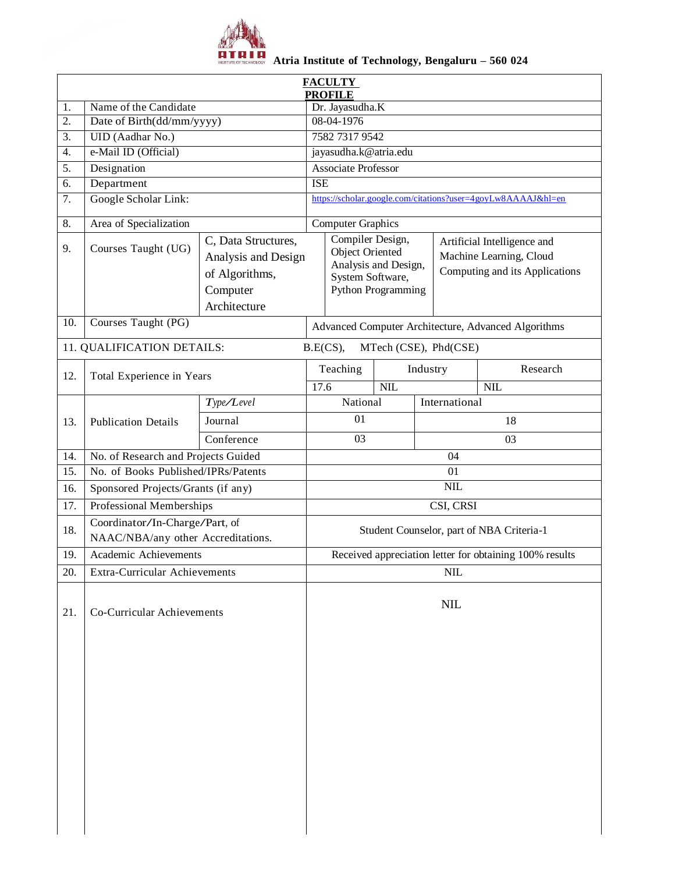

## **Atria Institute of Technology, Bengaluru – 560 024**

|                  |                                     | <b>FACULTY</b>                                                                           |                                                              |                                                                                                                                                                                                          |            |                       |                         |  |  |  |
|------------------|-------------------------------------|------------------------------------------------------------------------------------------|--------------------------------------------------------------|----------------------------------------------------------------------------------------------------------------------------------------------------------------------------------------------------------|------------|-----------------------|-------------------------|--|--|--|
| 1.               | Name of the Candidate               |                                                                                          |                                                              | <b>PROFILE</b><br>Dr. Jayasudha.K                                                                                                                                                                        |            |                       |                         |  |  |  |
| $\overline{2}$ . | Date of Birth(dd/mm/yyyy)           |                                                                                          | 08-04-1976                                                   |                                                                                                                                                                                                          |            |                       |                         |  |  |  |
| 3.               | UID (Aadhar No.)                    |                                                                                          | 7582 7317 9542                                               |                                                                                                                                                                                                          |            |                       |                         |  |  |  |
| 4.               | e-Mail ID (Official)                |                                                                                          | jayasudha.k@atria.edu                                        |                                                                                                                                                                                                          |            |                       |                         |  |  |  |
| 5.               | Designation                         |                                                                                          | <b>Associate Professor</b>                                   |                                                                                                                                                                                                          |            |                       |                         |  |  |  |
| 6.               | Department                          |                                                                                          | <b>ISE</b>                                                   |                                                                                                                                                                                                          |            |                       |                         |  |  |  |
| 7.               | Google Scholar Link:                |                                                                                          | https://scholar.google.com/citations?user=4goyLw8AAAAJ&hl=en |                                                                                                                                                                                                          |            |                       |                         |  |  |  |
|                  |                                     |                                                                                          |                                                              |                                                                                                                                                                                                          |            |                       |                         |  |  |  |
| 8.               | Area of Specialization              |                                                                                          | <b>Computer Graphics</b>                                     |                                                                                                                                                                                                          |            |                       |                         |  |  |  |
| 9.               | Courses Taught (UG)                 | C, Data Structures,<br>Analysis and Design<br>of Algorithms,<br>Computer<br>Architecture |                                                              | Compiler Design,<br>Artificial Intelligence and<br><b>Object Oriented</b><br>Machine Learning, Cloud<br>Analysis and Design,<br>Computing and its Applications<br>System Software,<br>Python Programming |            |                       |                         |  |  |  |
| 10.              | Courses Taught (PG)                 |                                                                                          |                                                              | Advanced Computer Architecture, Advanced Algorithms                                                                                                                                                      |            |                       |                         |  |  |  |
|                  | 11. QUALIFICATION DETAILS:          |                                                                                          |                                                              | B.E(CS),                                                                                                                                                                                                 |            | MTech (CSE), Phd(CSE) |                         |  |  |  |
|                  | Total Experience in Years           |                                                                                          |                                                              | Research<br>Teaching<br>Industry                                                                                                                                                                         |            |                       |                         |  |  |  |
| 12.              |                                     |                                                                                          | 17.6                                                         |                                                                                                                                                                                                          | <b>NIL</b> |                       | $\overline{\text{NIL}}$ |  |  |  |
|                  |                                     | Type/Level                                                                               |                                                              | National                                                                                                                                                                                                 |            | International         |                         |  |  |  |
| 13.              | <b>Publication Details</b>          | Journal                                                                                  |                                                              | 01                                                                                                                                                                                                       |            | 18                    |                         |  |  |  |
|                  |                                     | Conference                                                                               |                                                              | 03                                                                                                                                                                                                       |            | 03                    |                         |  |  |  |
| 14.              | No. of Research and Projects Guided |                                                                                          | 04                                                           |                                                                                                                                                                                                          |            |                       |                         |  |  |  |
| 15.              | No. of Books Published/IPRs/Patents |                                                                                          | 01                                                           |                                                                                                                                                                                                          |            |                       |                         |  |  |  |
| 16.              | Sponsored Projects/Grants (if any)  |                                                                                          | <b>NIL</b>                                                   |                                                                                                                                                                                                          |            |                       |                         |  |  |  |
| 17.              | Professional Memberships            |                                                                                          | CSI, CRSI                                                    |                                                                                                                                                                                                          |            |                       |                         |  |  |  |
|                  | Coordinator/In-Charge/Part, of      |                                                                                          |                                                              |                                                                                                                                                                                                          |            |                       |                         |  |  |  |
| 18.              | NAAC/NBA/any other Accreditations.  |                                                                                          | Student Counselor, part of NBA Criteria-1                    |                                                                                                                                                                                                          |            |                       |                         |  |  |  |
| 19.              | Academic Achievements               |                                                                                          |                                                              | Received appreciation letter for obtaining 100% results                                                                                                                                                  |            |                       |                         |  |  |  |
| 20.              | Extra-Curricular Achievements       |                                                                                          | <b>NIL</b>                                                   |                                                                                                                                                                                                          |            |                       |                         |  |  |  |
| 21.              | Co-Curricular Achievements          |                                                                                          |                                                              |                                                                                                                                                                                                          |            | NIL                   |                         |  |  |  |